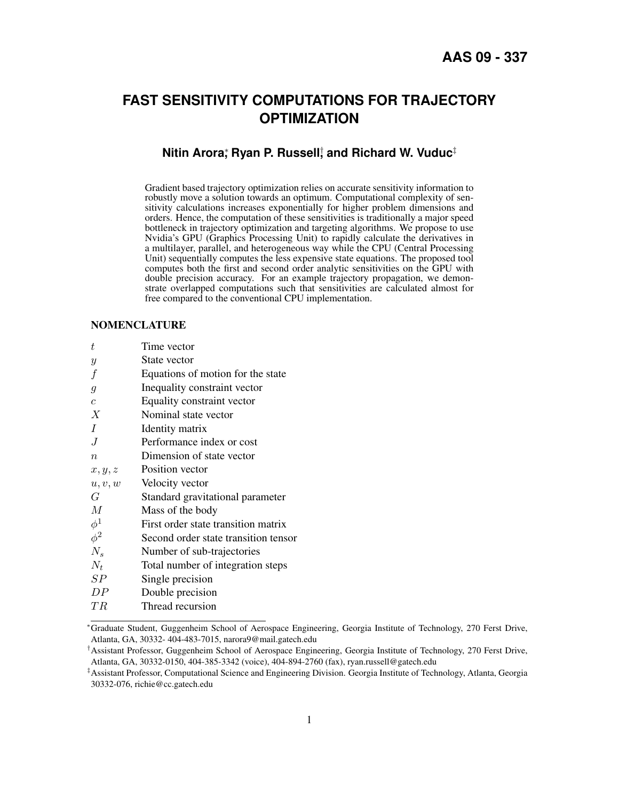# **FAST SENSITIVITY COMPUTATIONS FOR TRAJECTORY OPTIMIZATION**

# **Nitin Arora**ႈ Ryan P. Russell; and Richard W. Vuduc<sup>‡</sup>

Gradient based trajectory optimization relies on accurate sensitivity information to robustly move a solution towards an optimum. Computational complexity of sensitivity calculations increases exponentially for higher problem dimensions and orders. Hence, the computation of these sensitivities is traditionally a major speed bottleneck in trajectory optimization and targeting algorithms. We propose to use Nvidia's GPU (Graphics Processing Unit) to rapidly calculate the derivatives in a multilayer, parallel, and heterogeneous way while the CPU (Central Processing Unit) sequentially computes the less expensive state equations. The proposed tool computes both the first and second order analytic sensitivities on the GPU with double precision accuracy. For an example trajectory propagation, we demonstrate overlapped computations such that sensitivities are calculated almost for free compared to the conventional CPU implementation.

### NOMENCLATURE

| t                | Time vector                          |
|------------------|--------------------------------------|
| $\mathcal{Y}$    | State vector                         |
| $\boldsymbol{f}$ | Equations of motion for the state    |
| $\mathfrak g$    | Inequality constraint vector         |
| $\boldsymbol{c}$ | Equality constraint vector           |
| Х                | Nominal state vector                 |
| Ι                | Identity matrix                      |
| J                | Performance index or cost            |
| $\boldsymbol{n}$ | Dimension of state vector            |
| x, y, z          | Position vector                      |
| u, v, w          | Velocity vector                      |
| G                | Standard gravitational parameter     |
| $\boldsymbol{M}$ | Mass of the body                     |
| $\phi^1$         | First order state transition matrix  |
| $\phi^2$         | Second order state transition tensor |
| $N_s$            | Number of sub-trajectories           |
| $N_t$            | Total number of integration steps    |
| SP               | Single precision                     |
| DP               | Double precision                     |
| ТR               | Thread recursion                     |
|                  |                                      |

<sup>∗</sup>Graduate Student, Guggenheim School of Aerospace Engineering, Georgia Institute of Technology, 270 Ferst Drive, Atlanta, GA, 30332- 404-483-7015, narora9@mail.gatech.edu

<sup>†</sup>Assistant Professor, Guggenheim School of Aerospace Engineering, Georgia Institute of Technology, 270 Ferst Drive, Atlanta, GA, 30332-0150, 404-385-3342 (voice), 404-894-2760 (fax), ryan.russell@gatech.edu

<sup>‡</sup>Assistant Professor, Computational Science and Engineering Division. Georgia Institute of Technology, Atlanta, Georgia 30332-076, richie@cc.gatech.edu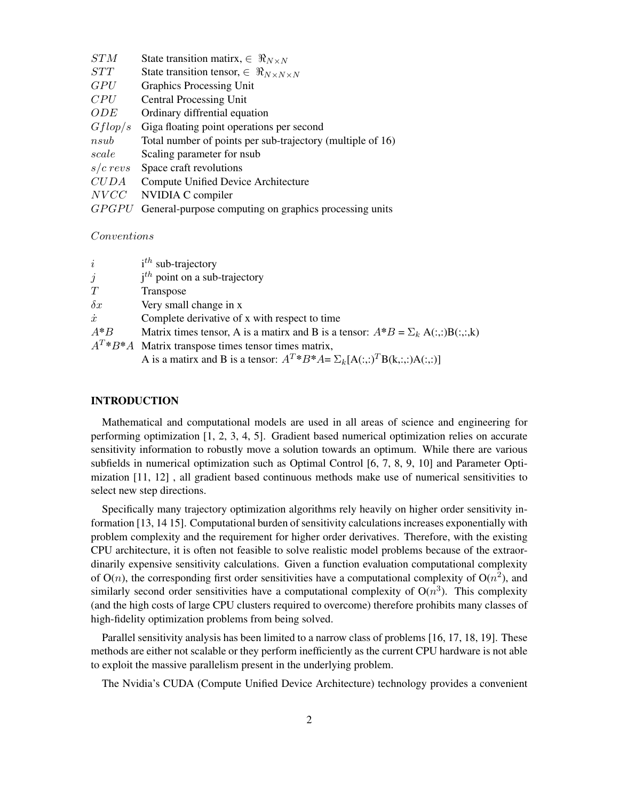| STM          | State transition matirx, $\in \Re_{N \times N}$            |
|--------------|------------------------------------------------------------|
| STT          | State transition tensor, $\in \Re_{N \times N \times N}$   |
| <i>GPU</i>   | <b>Graphics Processing Unit</b>                            |
| CPU          | <b>Central Processing Unit</b>                             |
| <i>ODE</i>   | Ordinary diffrential equation                              |
| Gflop/s      | Giga floating point operations per second                  |
| nsub         | Total number of points per sub-trajectory (multiple of 16) |
| scale        | Scaling parameter for nsub                                 |
| $s/c$ revs   | Space craft revolutions                                    |
| CUDA         | Compute Unified Device Architecture                        |
| NVCC         | NVIDIA C compiler                                          |
| <i>GPGPU</i> | General-purpose computing on graphics processing units     |
|              |                                                            |

Conventions

| $\dot{i}$  | $ith$ sub-trajectory                                                                 |
|------------|--------------------------------------------------------------------------------------|
| $\dot{j}$  | $i^{th}$ point on a sub-trajectory                                                   |
| T          | Transpose                                                                            |
| $\delta x$ | Very small change in x                                                               |
| $\dot{x}$  | Complete derivative of x with respect to time                                        |
| $A^*B$     | Matrix times tensor, A is a matrix and B is a tensor: $A^*B = \sum_k A(:,.)B(:,.,k)$ |
|            | $A^T * B^* A$ Matrix transpose times tensor times matrix,                            |
|            | A is a matirx and B is a tensor: $A^T * B^* A = \sum_k [A(:,:)^T B(k, :,:) A(:,:)$   |

# INTRODUCTION

Mathematical and computational models are used in all areas of science and engineering for performing optimization [\[1,](#page-14-0) [2,](#page-14-1) [3,](#page-14-2) [4,](#page-14-3) [5\]](#page-14-4). Gradient based numerical optimization relies on accurate sensitivity information to robustly move a solution towards an optimum. While there are various subfields in numerical optimization such as Optimal Control [\[6,](#page-14-5) [7,](#page-14-6) [8,](#page-14-7) [9,](#page-14-8) [10\]](#page-14-9) and Parameter Optimization [\[11,](#page-14-10) [12\]](#page-14-11) , all gradient based continuous methods make use of numerical sensitivities to select new step directions.

Specifically many trajectory optimization algorithms rely heavily on higher order sensitivity information [\[13,](#page-14-12) [14](#page-14-13) [15\]](#page-14-14). Computational burden of sensitivity calculations increases exponentially with problem complexity and the requirement for higher order derivatives. Therefore, with the existing CPU architecture, it is often not feasible to solve realistic model problems because of the extraordinarily expensive sensitivity calculations. Given a function evaluation computational complexity of  $O(n)$ , the corresponding first order sensitivities have a computational complexity of  $O(n^2)$ , and similarly second order sensitivities have a computational complexity of  $O(n^3)$ . This complexity (and the high costs of large CPU clusters required to overcome) therefore prohibits many classes of high-fidelity optimization problems from being solved.

Parallel sensitivity analysis has been limited to a narrow class of problems [\[16,](#page-15-0) [17,](#page-15-1) [18,](#page-15-2) [19\]](#page-15-3). These methods are either not scalable or they perform inefficiently as the current CPU hardware is not able to exploit the massive parallelism present in the underlying problem.

The Nvidia's CUDA (Compute Unified Device Architecture) technology provides a convenient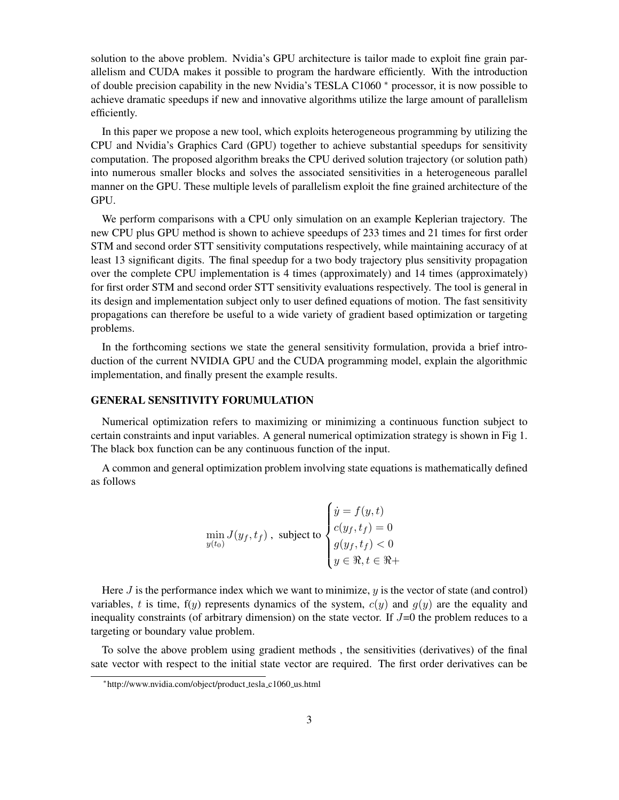solution to the above problem. Nvidia's GPU architecture is tailor made to exploit fine grain parallelism and CUDA makes it possible to program the hardware efficiently. With the introduction of double precision capability in the new Nvidia's TESLA C1060 [∗](#page-2-0) processor, it is now possible to achieve dramatic speedups if new and innovative algorithms utilize the large amount of parallelism efficiently.

In this paper we propose a new tool, which exploits heterogeneous programming by utilizing the CPU and Nvidia's Graphics Card (GPU) together to achieve substantial speedups for sensitivity computation. The proposed algorithm breaks the CPU derived solution trajectory (or solution path) into numerous smaller blocks and solves the associated sensitivities in a heterogeneous parallel manner on the GPU. These multiple levels of parallelism exploit the fine grained architecture of the GPU.

We perform comparisons with a CPU only simulation on an example Keplerian trajectory. The new CPU plus GPU method is shown to achieve speedups of 233 times and 21 times for first order STM and second order STT sensitivity computations respectively, while maintaining accuracy of at least 13 significant digits. The final speedup for a two body trajectory plus sensitivity propagation over the complete CPU implementation is 4 times (approximately) and 14 times (approximately) for first order STM and second order STT sensitivity evaluations respectively. The tool is general in its design and implementation subject only to user defined equations of motion. The fast sensitivity propagations can therefore be useful to a wide variety of gradient based optimization or targeting problems.

In the forthcoming sections we state the general sensitivity formulation, provida a brief introduction of the current NVIDIA GPU and the CUDA programming model, explain the algorithmic implementation, and finally present the example results.

# GENERAL SENSITIVITY FORUMULATION

Numerical optimization refers to maximizing or minimizing a continuous function subject to certain constraints and input variables. A general numerical optimization strategy is shown in Fig [1.](#page-3-0) The black box function can be any continuous function of the input.

A common and general optimization problem involving state equations is mathematically defined as follows

$$
\min_{y(t_0)} J(y_f, t_f), \text{ subject to } \begin{cases} \dot{y} = f(y, t) \\ c(y_f, t_f) = 0 \\ g(y_f, t_f) < 0 \\ y \in \Re, t \in \Re + \end{cases}
$$

Here  $J$  is the performance index which we want to minimize,  $y$  is the vector of state (and control) variables, t is time,  $f(y)$  represents dynamics of the system,  $c(y)$  and  $g(y)$  are the equality and inequality constraints (of arbitrary dimension) on the state vector. If  $J=0$  the problem reduces to a targeting or boundary value problem.

To solve the above problem using gradient methods , the sensitivities (derivatives) of the final sate vector with respect to the initial state vector are required. The first order derivatives can be

<span id="page-2-0"></span><sup>∗</sup> http://www.nvidia.com/object/product tesla c1060 us.html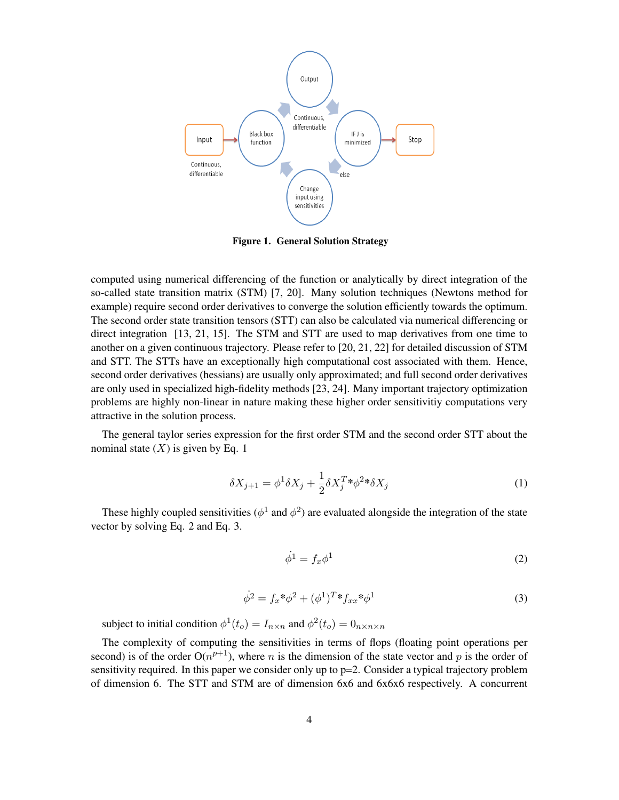

<span id="page-3-0"></span>Figure 1. General Solution Strategy

computed using numerical differencing of the function or analytically by direct integration of the so-called state transition matrix (STM) [\[7,](#page-14-6) [20\]](#page-15-4). Many solution techniques (Newtons method for example) require second order derivatives to converge the solution efficiently towards the optimum. The second order state transition tensors (STT) can also be calculated via numerical differencing or direct integration [\[13,](#page-14-12) [21,](#page-15-5) [15\]](#page-14-14). The STM and STT are used to map derivatives from one time to another on a given continuous trajectory. Please refer to [\[20,](#page-15-4) [21,](#page-15-5) [22\]](#page-15-6) for detailed discussion of STM and STT. The STTs have an exceptionally high computational cost associated with them. Hence, second order derivatives (hessians) are usually only approximated; and full second order derivatives are only used in specialized high-fidelity methods [\[23,](#page-15-7) [24\]](#page-15-8). Many important trajectory optimization problems are highly non-linear in nature making these higher order sensitivitiy computations very attractive in the solution process.

The general taylor series expression for the first order STM and the second order STT about the nominal state  $(X)$  is given by Eq. 1

$$
\delta X_{j+1} = \phi^1 \delta X_j + \frac{1}{2} \delta X_j^T \ast \phi^2 \ast \delta X_j \tag{1}
$$

These highly coupled sensitivities ( $\phi^1$  and  $\phi^2$ ) are evaluated alongside the integration of the state vector by solving Eq. 2 and Eq. 3.

$$
\dot{\phi}^1 = f_x \phi^1 \tag{2}
$$

$$
\dot{\phi}^2 = f_x^* \phi^2 + (\phi^1)^T^* f_{xx}^* \phi^1 \tag{3}
$$

subject to initial condition  $\phi^1(t_o) = I_{n \times n}$  and  $\phi^2(t_o) = 0_{n \times n \times n}$ 

The complexity of computing the sensitivities in terms of flops (floating point operations per second) is of the order  $O(n^{p+1})$ , where *n* is the dimension of the state vector and *p* is the order of sensitivity required. In this paper we consider only up to p=2. Consider a typical trajectory problem of dimension 6. The STT and STM are of dimension 6x6 and 6x6x6 respectively. A concurrent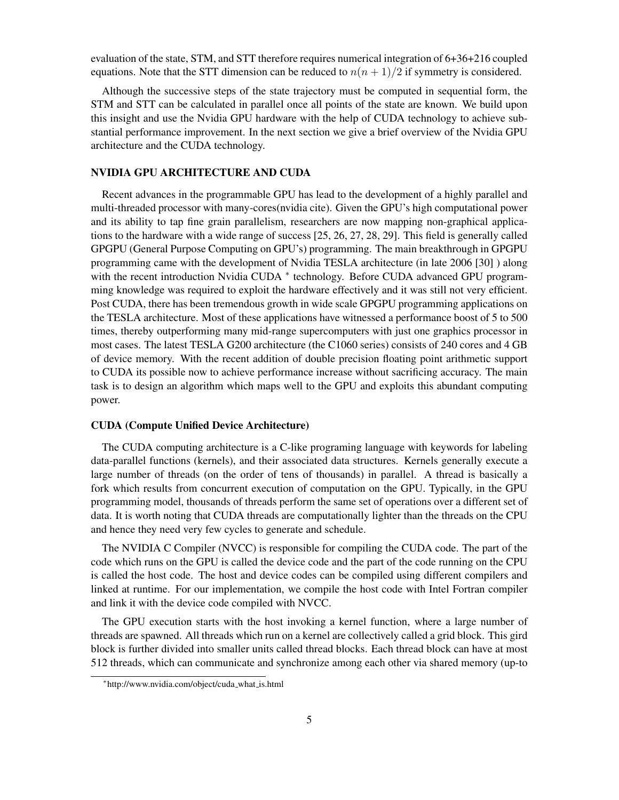evaluation of the state, STM, and STT therefore requires numerical integration of 6+36+216 coupled equations. Note that the STT dimension can be reduced to  $n(n + 1)/2$  if symmetry is considered.

Although the successive steps of the state trajectory must be computed in sequential form, the STM and STT can be calculated in parallel once all points of the state are known. We build upon this insight and use the Nvidia GPU hardware with the help of CUDA technology to achieve substantial performance improvement. In the next section we give a brief overview of the Nvidia GPU architecture and the CUDA technology.

## NVIDIA GPU ARCHITECTURE AND CUDA

Recent advances in the programmable GPU has lead to the development of a highly parallel and multi-threaded processor with many-cores(nvidia cite). Given the GPU's high computational power and its ability to tap fine grain parallelism, researchers are now mapping non-graphical applications to the hardware with a wide range of success [\[25,](#page-15-9) [26,](#page-15-10) [27,](#page-15-11) [28,](#page-15-12) [29\]](#page-15-13). This field is generally called GPGPU (General Purpose Computing on GPU's) programming. The main breakthrough in GPGPU programming came with the development of Nvidia TESLA architecture (in late 2006 [\[30\]](#page-15-14) ) along with the recent introduction Nvidia CUDA \* technology. Before CUDA advanced GPU programming knowledge was required to exploit the hardware effectively and it was still not very efficient. Post CUDA, there has been tremendous growth in wide scale GPGPU programming applications on the TESLA architecture. Most of these applications have witnessed a performance boost of 5 to 500 times, thereby outperforming many mid-range supercomputers with just one graphics processor in most cases. The latest TESLA G200 architecture (the C1060 series) consists of 240 cores and 4 GB of device memory. With the recent addition of double precision floating point arithmetic support to CUDA its possible now to achieve performance increase without sacrificing accuracy. The main task is to design an algorithm which maps well to the GPU and exploits this abundant computing power.

#### CUDA (Compute Unified Device Architecture)

The CUDA computing architecture is a C-like programing language with keywords for labeling data-parallel functions (kernels), and their associated data structures. Kernels generally execute a large number of threads (on the order of tens of thousands) in parallel. A thread is basically a fork which results from concurrent execution of computation on the GPU. Typically, in the GPU programming model, thousands of threads perform the same set of operations over a different set of data. It is worth noting that CUDA threads are computationally lighter than the threads on the CPU and hence they need very few cycles to generate and schedule.

The NVIDIA C Compiler (NVCC) is responsible for compiling the CUDA code. The part of the code which runs on the GPU is called the device code and the part of the code running on the CPU is called the host code. The host and device codes can be compiled using different compilers and linked at runtime. For our implementation, we compile the host code with Intel Fortran compiler and link it with the device code compiled with NVCC.

The GPU execution starts with the host invoking a kernel function, where a large number of threads are spawned. All threads which run on a kernel are collectively called a grid block. This gird block is further divided into smaller units called thread blocks. Each thread block can have at most 512 threads, which can communicate and synchronize among each other via shared memory (up-to

<span id="page-4-0"></span><sup>∗</sup> http://www.nvidia.com/object/cuda what is.html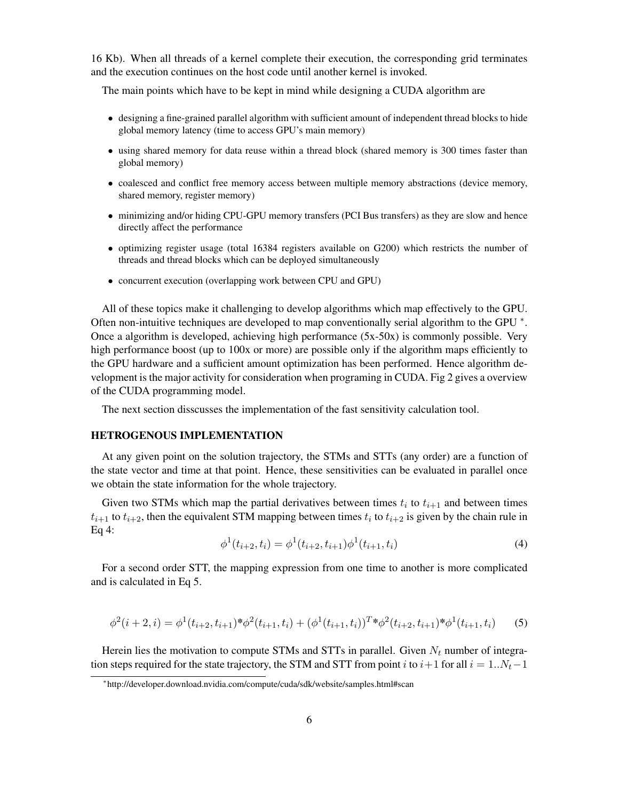16 Kb). When all threads of a kernel complete their execution, the corresponding grid terminates and the execution continues on the host code until another kernel is invoked.

The main points which have to be kept in mind while designing a CUDA algorithm are

- designing a fine-grained parallel algorithm with sufficient amount of independent thread blocks to hide global memory latency (time to access GPU's main memory)
- using shared memory for data reuse within a thread block (shared memory is 300 times faster than global memory)
- coalesced and conflict free memory access between multiple memory abstractions (device memory, shared memory, register memory)
- minimizing and/or hiding CPU-GPU memory transfers (PCI Bus transfers) as they are slow and hence directly affect the performance
- optimizing register usage (total 16384 registers available on G200) which restricts the number of threads and thread blocks which can be deployed simultaneously
- concurrent execution (overlapping work between CPU and GPU)

All of these topics make it challenging to develop algorithms which map effectively to the GPU. Often non-intuitive techniques are developed to map conventionally serial algorithm to the GPU \*. Once a algorithm is developed, achieving high performance (5x-50x) is commonly possible. Very high performance boost (up to 100x or more) are possible only if the algorithm maps efficiently to the GPU hardware and a sufficient amount optimization has been performed. Hence algorithm development is the major activity for consideration when programing in CUDA. Fig [2](#page-6-0) gives a overview of the CUDA programming model.

The next section disscusses the implementation of the fast sensitivity calculation tool.

# HETROGENOUS IMPLEMENTATION

At any given point on the solution trajectory, the STMs and STTs (any order) are a function of the state vector and time at that point. Hence, these sensitivities can be evaluated in parallel once we obtain the state information for the whole trajectory.

Given two STMs which map the partial derivatives between times  $t_i$  to  $t_{i+1}$  and between times  $t_{i+1}$  to  $t_{i+2}$ , then the equivalent STM mapping between times  $t_i$  to  $t_{i+2}$  is given by the chain rule in Eq 4:

$$
\phi^{1}(t_{i+2}, t_{i}) = \phi^{1}(t_{i+2}, t_{i+1})\phi^{1}(t_{i+1}, t_{i})
$$
\n(4)

For a second order STT, the mapping expression from one time to another is more complicated and is calculated in Eq 5.

$$
\phi^2(i+2,i) = \phi^1(t_{i+2}, t_{i+1})^* \phi^2(t_{i+1}, t_i) + (\phi^1(t_{i+1}, t_i))^T^* \phi^2(t_{i+2}, t_{i+1})^* \phi^1(t_{i+1}, t_i)
$$
(5)

Herein lies the motivation to compute STMs and STTs in parallel. Given  $N_t$  number of integration steps required for the state trajectory, the STM and STT from point i to  $i+1$  for all  $i = 1..N_t-1$ 

<span id="page-5-0"></span><sup>∗</sup> http://developer.download.nvidia.com/compute/cuda/sdk/website/samples.html#scan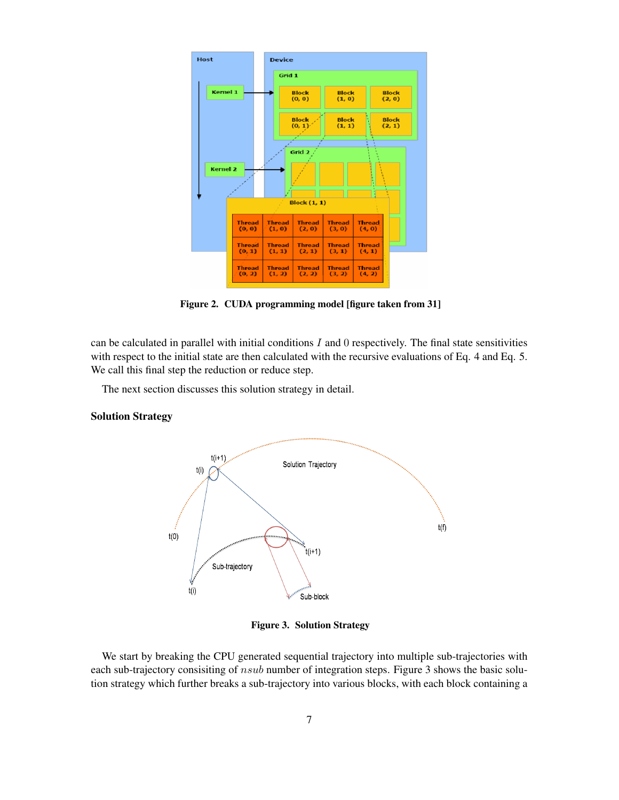

<span id="page-6-0"></span>Figure 2. CUDA programming model [figure taken from [31\]](#page-15-15)

can be calculated in parallel with initial conditions  $I$  and  $0$  respectively. The final state sensitivities with respect to the initial state are then calculated with the recursive evaluations of Eq. 4 and Eq. 5. We call this final step the reduction or reduce step.

The next section discusses this solution strategy in detail.

## Solution Strategy



<span id="page-6-1"></span>Figure 3. Solution Strategy

We start by breaking the CPU generated sequential trajectory into multiple sub-trajectories with each sub-trajectory consisiting of nsub number of integration steps. Figure [3](#page-6-1) shows the basic solution strategy which further breaks a sub-trajectory into various blocks, with each block containing a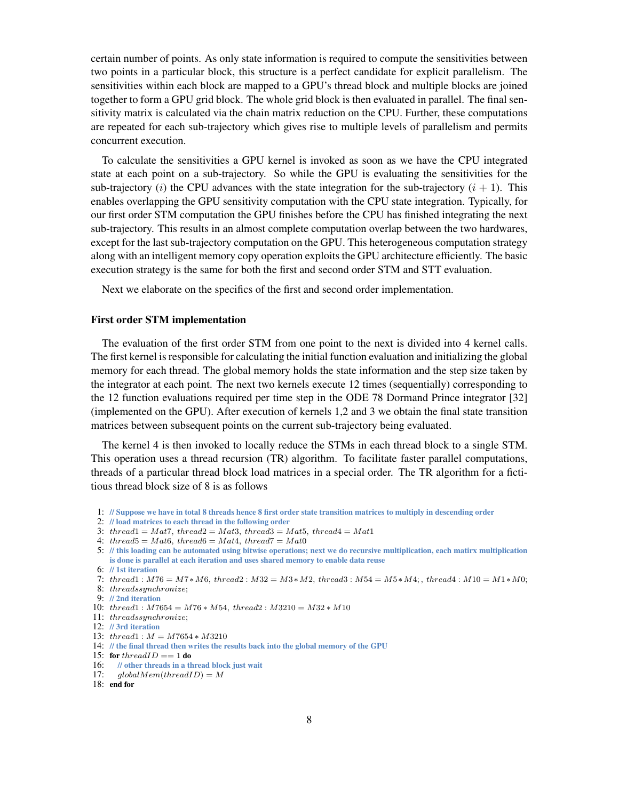certain number of points. As only state information is required to compute the sensitivities between two points in a particular block, this structure is a perfect candidate for explicit parallelism. The sensitivities within each block are mapped to a GPU's thread block and multiple blocks are joined together to form a GPU grid block. The whole grid block is then evaluated in parallel. The final sensitivity matrix is calculated via the chain matrix reduction on the CPU. Further, these computations are repeated for each sub-trajectory which gives rise to multiple levels of parallelism and permits concurrent execution.

To calculate the sensitivities a GPU kernel is invoked as soon as we have the CPU integrated state at each point on a sub-trajectory. So while the GPU is evaluating the sensitivities for the sub-trajectory (i) the CPU advances with the state integration for the sub-trajectory  $(i + 1)$ . This enables overlapping the GPU sensitivity computation with the CPU state integration. Typically, for our first order STM computation the GPU finishes before the CPU has finished integrating the next sub-trajectory. This results in an almost complete computation overlap between the two hardwares, except for the last sub-trajectory computation on the GPU. This heterogeneous computation strategy along with an intelligent memory copy operation exploits the GPU architecture efficiently. The basic execution strategy is the same for both the first and second order STM and STT evaluation.

Next we elaborate on the specifics of the first and second order implementation.

## First order STM implementation

The evaluation of the first order STM from one point to the next is divided into 4 kernel calls. The first kernel is responsible for calculating the initial function evaluation and initializing the global memory for each thread. The global memory holds the state information and the step size taken by the integrator at each point. The next two kernels execute 12 times (sequentially) corresponding to the 12 function evaluations required per time step in the ODE 78 Dormand Prince integrator [\[32\]](#page-15-16) (implemented on the GPU). After execution of kernels 1,2 and 3 we obtain the final state transition matrices between subsequent points on the current sub-trajectory being evaluated.

The kernel 4 is then invoked to locally reduce the STMs in each thread block to a single STM. This operation uses a thread recursion (TR) algorithm. To facilitate faster parallel computations, threads of a particular thread block load matrices in a special order. The TR algorithm for a fictitious thread block size of 8 is as follows

- 1: // Suppose we have in total 8 threads hence 8 first order state transition matrices to multiply in descending order
- 2: // load matrices to each thread in the following order
- 3: thread1 =  $Mat7$ , thread2 =  $Mat3$ , thread3 =  $Mat5$ , thread4 =  $Mat1$
- 4: thread5 =  $Mat6$ , thread6 =  $Mat4$ , thread7 =  $Mat0$
- 5: // this loading can be automated using bitwise operations; next we do recursive multiplication, each matirx multiplication is done is parallel at each iteration and uses shared memory to enable data reuse

- 7: thread1 :  $M76 = M7 * M6$ , thread2 :  $M32 = M3 * M2$ , thread3 :  $M54 = M5 * M4$ ; thread4 :  $M10 = M1 * M0$ ;
- 8: threadssynchronize;
- 9: // 2nd iteration
- 10:  $thread1: M7654 = M76 * M54, thread2: M3210 = M32 * M10$
- 11: threadssynchronize;
- 12: // 3rd iteration
- 13: thread1 : M = M7654 ∗ M3210
- 14: // the final thread then writes the results back into the global memory of the GPU
- 15: for thread  $ID == 1$  do
- 16: // other threads in a thread block just wait
- 17:  $qlobalMem(threadID) = M$
- 18: end for

<sup>6:</sup> // 1st iteration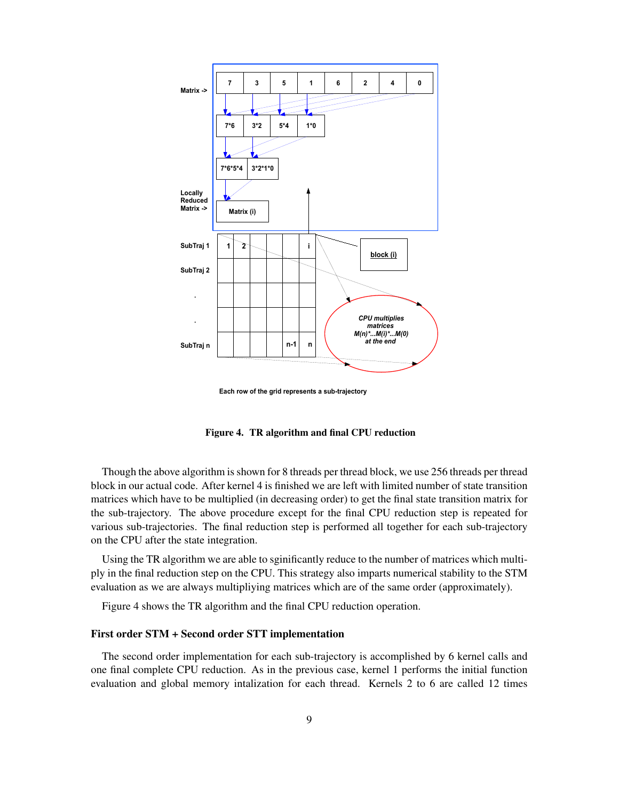

**Each row of the grid represents a sub-trajectory**

<span id="page-8-0"></span>Figure 4. TR algorithm and final CPU reduction

Though the above algorithm is shown for 8 threads per thread block, we use 256 threads per thread block in our actual code. After kernel 4 is finished we are left with limited number of state transition matrices which have to be multiplied (in decreasing order) to get the final state transition matrix for the sub-trajectory. The above procedure except for the final CPU reduction step is repeated for various sub-trajectories. The final reduction step is performed all together for each sub-trajectory on the CPU after the state integration.

Using the TR algorithm we are able to sginificantly reduce to the number of matrices which multiply in the final reduction step on the CPU. This strategy also imparts numerical stability to the STM evaluation as we are always multipliying matrices which are of the same order (approximately).

Figure [4](#page-8-0) shows the TR algorithm and the final CPU reduction operation.

## First order STM + Second order STT implementation

The second order implementation for each sub-trajectory is accomplished by 6 kernel calls and one final complete CPU reduction. As in the previous case, kernel 1 performs the initial function evaluation and global memory intalization for each thread. Kernels 2 to 6 are called 12 times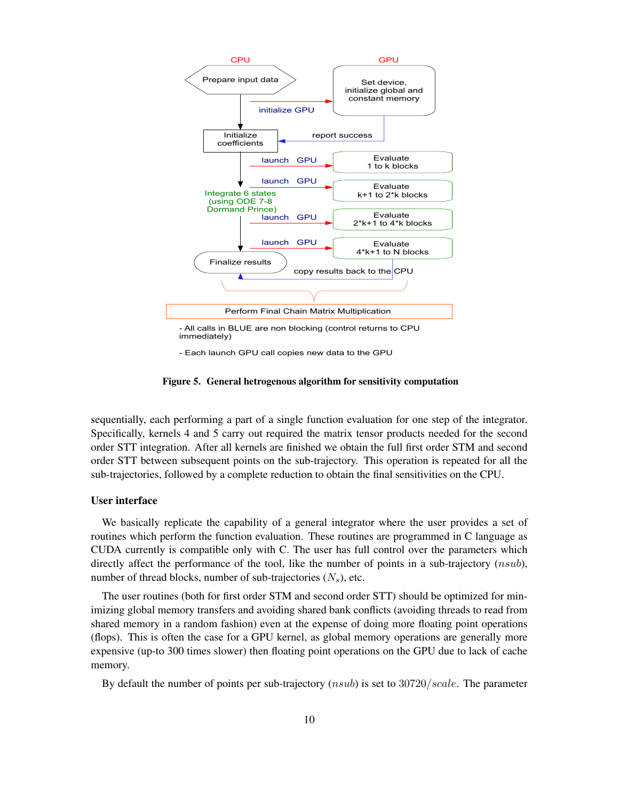

<span id="page-9-0"></span>- Each launch GPU call copies new data to the GPU

Figure 5. General hetrogenous algorithm for sensitivity computation

sequentially, each performing a part of a single function evaluation for one step of the integrator. Specifically, kernels 4 and 5 carry out required the matrix tensor products needed for the second order STT integration. After all kernels are finished we obtain the full first order STM and second order STT between subsequent points on the sub-trajectory. This operation is repeated for all the sub-trajectories, followed by a complete reduction to obtain the final sensitivities on the CPU.

## User interface

We basically replicate the capability of a general integrator where the user provides a set of routines which perform the function evaluation. These routines are programmed in C language as CUDA currently is compatible only with C. The user has full control over the parameters which directly affect the performance of the tool, like the number of points in a sub-trajectory  $(nsub)$ , number of thread blocks, number of sub-trajectories  $(N_s)$ , etc.

The user routines (both for first order STM and second order STT) should be optimized for minimizing global memory transfers and avoiding shared bank conflicts (avoiding threads to read from shared memory in a random fashion) even at the expense of doing more floating point operations (flops). This is often the case for a GPU kernel, as global memory operations are generally more expensive (up-to 300 times slower) then floating point operations on the GPU due to lack of cache memory.

By default the number of points per sub-trajectory (nsub) is set to 30720/scale. The parameter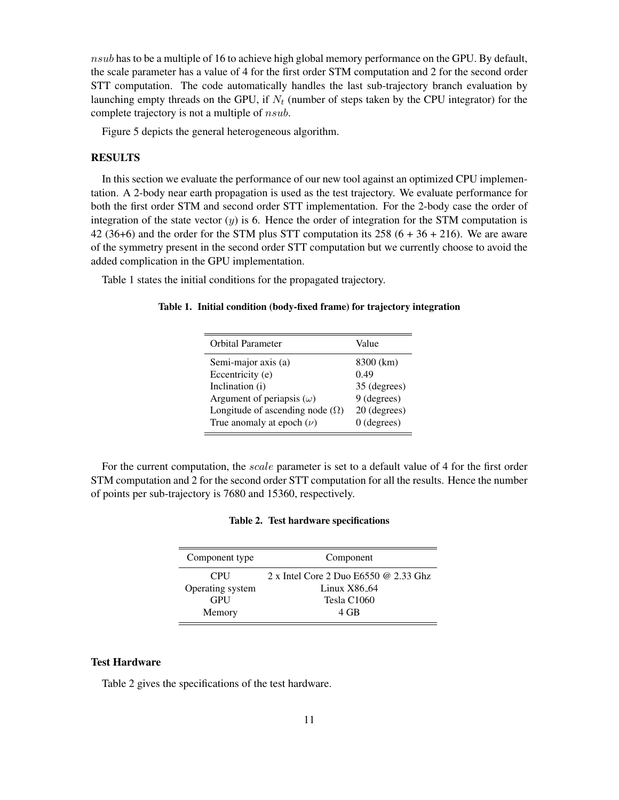$nsub$  has to be a multiple of 16 to achieve high global memory performance on the GPU. By default, the scale parameter has a value of 4 for the first order STM computation and 2 for the second order STT computation. The code automatically handles the last sub-trajectory branch evaluation by launching empty threads on the GPU, if  $N_t$  (number of steps taken by the CPU integrator) for the complete trajectory is not a multiple of nsub.

Figure [5](#page-9-0) depicts the general heterogeneous algorithm.

## **RESULTS**

In this section we evaluate the performance of our new tool against an optimized CPU implementation. A 2-body near earth propagation is used as the test trajectory. We evaluate performance for both the first order STM and second order STT implementation. For the 2-body case the order of integration of the state vector  $(y)$  is 6. Hence the order of integration for the STM computation is 42 (36+6) and the order for the STM plus STT computation its  $258(6 + 36 + 216)$ . We are aware of the symmetry present in the second order STT computation but we currently choose to avoid the added complication in the GPU implementation.

Table [1](#page-10-0) states the initial conditions for the propagated trajectory.

## Table 1. Initial condition (body-fixed frame) for trajectory integration

<span id="page-10-0"></span>

| 8300 (km)<br>Semi-major axis (a)<br>Eccentricity (e)<br>0.49<br>Inclination (i)<br>35 (degrees)<br>9 (degrees)<br>Argument of periapsis $(\omega)$<br>20 (degrees)<br>Longitude of ascending node $(\Omega)$<br>$0$ (degrees)<br>True anomaly at epoch $(\nu)$ | <b>Orbital Parameter</b> | Value |
|----------------------------------------------------------------------------------------------------------------------------------------------------------------------------------------------------------------------------------------------------------------|--------------------------|-------|
|                                                                                                                                                                                                                                                                |                          |       |

For the current computation, the *scale* parameter is set to a default value of 4 for the first order STM computation and 2 for the second order STT computation for all the results. Hence the number of points per sub-trajectory is 7680 and 15360, respectively.

<span id="page-10-1"></span>

| Component type   | Component                               |
|------------------|-----------------------------------------|
| <b>CPU</b>       | 2 x Intel Core 2 Duo $E6550$ @ 2.33 Ghz |
| Operating system | Linux $X86_64$                          |
| <b>GPU</b>       | Tesla C1060                             |
| Memory           | 4 GB                                    |

# Test Hardware

Table [2](#page-10-1) gives the specifications of the test hardware.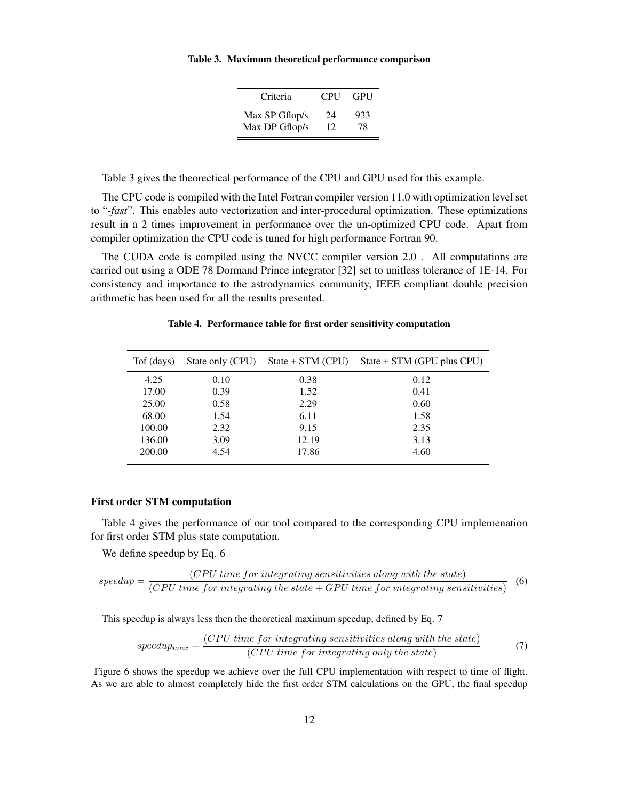#### Table 3. Maximum theoretical performance comparison

<span id="page-11-0"></span>

| Criteria       | <b>CPU</b> | GPU |
|----------------|------------|-----|
| Max SP Gflop/s | 24         | 933 |
| Max DP Gflop/s | 12         | 78  |

Table [3](#page-11-0) gives the theorectical performance of the CPU and GPU used for this example.

The CPU code is compiled with the Intel Fortran compiler version 11.0 with optimization level set to "*-fast*". This enables auto vectorization and inter-procedural optimization. These optimizations result in a 2 times improvement in performance over the un-optimized CPU code. Apart from compiler optimization the CPU code is tuned for high performance Fortran 90.

The CUDA code is compiled using the NVCC compiler version 2.0 . All computations are carried out using a ODE 78 Dormand Prince integrator [\[32\]](#page-15-16) set to unitless tolerance of 1E-14. For consistency and importance to the astrodynamics community, IEEE compliant double precision arithmetic has been used for all the results presented.

| Tof (days) | State only (CPU) | $State + STM (CPU)$ | State + STM (GPU plus CPU) |
|------------|------------------|---------------------|----------------------------|
| 4.25       | 0.10             | 0.38                | 0.12                       |
| 17.00      | 0.39             | 1.52                | 0.41                       |
| 25.00      | 0.58             | 2.29                | 0.60                       |
| 68.00      | 1.54             | 6.11                | 1.58                       |
| 100.00     | 2.32             | 9.15                | 2.35                       |
| 136.00     | 3.09             | 12.19               | 3.13                       |
| 200.00     | 4.54             | 17.86               | 4.60                       |

#### <span id="page-11-1"></span>Table 4. Performance table for first order sensitivity computation

#### First order STM computation

Table [4](#page-11-1) gives the performance of our tool compared to the corresponding CPU implemenation for first order STM plus state computation.

We define speedup by Eq. 6

$$
speedup = \frac{(CPU\ time\ for\ integrating\ sensitivity\ its\ along\ with\ the\ state)}{(CPU\ time\ for\ integrating\ the\ state + GPU\ time\ for\ integrating\ sensitivity\}} \tag{6}
$$

This speedup is always less then the theoretical maximum speedup, defined by Eq. 7

$$
speedup_{max} = \frac{(CPU\ time\ for\ integrating\ sensitivities\ along\ with\ the\ state)}{(CPU\ time\ for\ integrating\ only\ the\ state)}\tag{7}
$$

Figure [6](#page-12-0) shows the speedup we achieve over the full CPU implementation with respect to time of flight. As we are able to almost completely hide the first order STM calculations on the GPU, the final speedup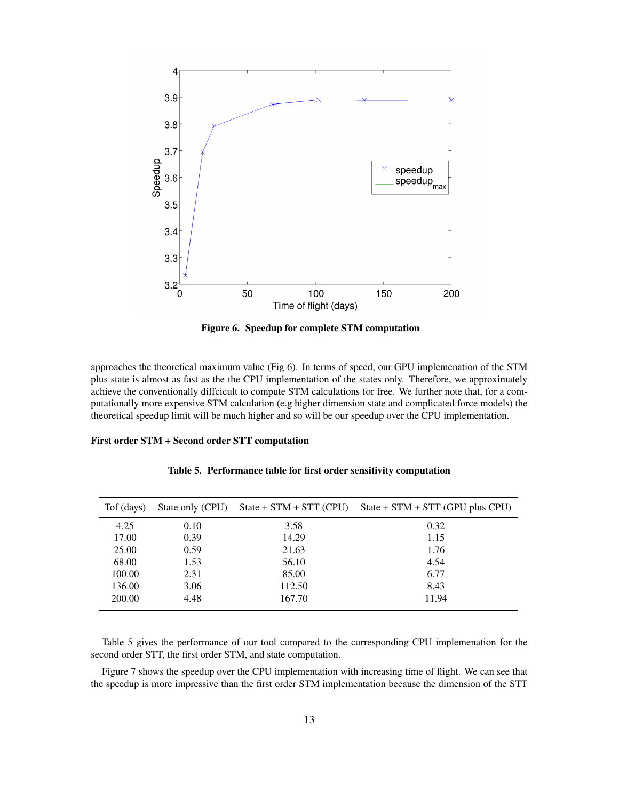

<span id="page-12-0"></span>Figure 6. Speedup for complete STM computation

approaches the theoretical maximum value (Fig [6\)](#page-12-0). In terms of speed, our GPU implemenation of the STM plus state is almost as fast as the the CPU implementation of the states only. Therefore, we approximately achieve the conventionally diffcicult to compute STM calculations for free. We further note that, for a computationally more expensive STM calculation (e.g higher dimension state and complicated force models) the theoretical speedup limit will be much higher and so will be our speedup over the CPU implementation.

#### First order STM + Second order STT computation

| Tof (days) | State only (CPU) | $State + STM + STT (CPU)$ | $State + STM + STT (GPU plus CPU)$ |
|------------|------------------|---------------------------|------------------------------------|
| 4.25       | 0.10             | 3.58                      | 0.32                               |
| 17.00      | 0.39             | 14.29                     | 1.15                               |
| 25.00      | 0.59             | 21.63                     | 1.76                               |
| 68.00      | 1.53             | 56.10                     | 4.54                               |
| 100.00     | 2.31             | 85.00                     | 6.77                               |
| 136.00     | 3.06             | 112.50                    | 8.43                               |
| 200.00     | 4.48             | 167.70                    | 11.94                              |

<span id="page-12-1"></span>Table 5. Performance table for first order sensitivity computation

Table [5](#page-12-1) gives the performance of our tool compared to the corresponding CPU implemenation for the second order STT, the first order STM, and state computation.

Figure [7](#page-13-0) shows the speedup over the CPU implementation with increasing time of flight. We can see that the speedup is more impressive than the first order STM implementation because the dimension of the STT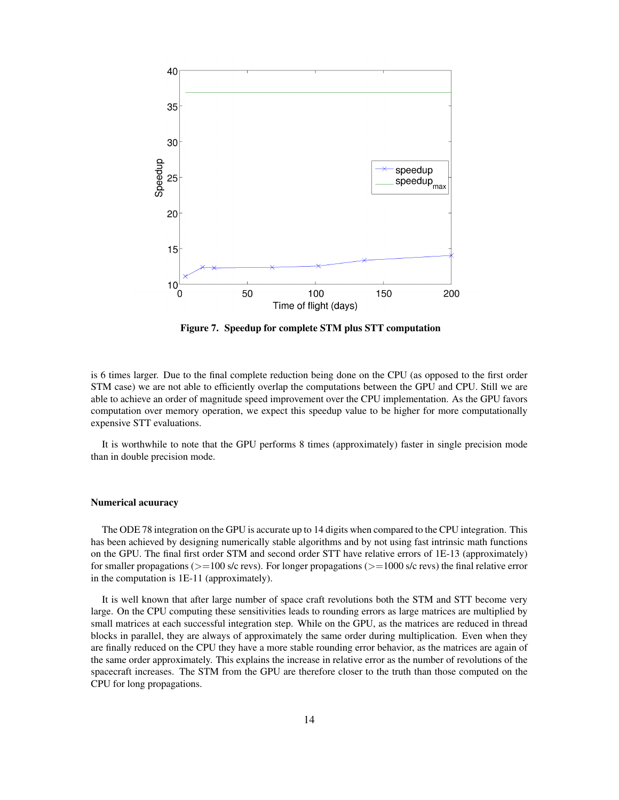

<span id="page-13-0"></span>Figure 7. Speedup for complete STM plus STT computation

is 6 times larger. Due to the final complete reduction being done on the CPU (as opposed to the first order STM case) we are not able to efficiently overlap the computations between the GPU and CPU. Still we are able to achieve an order of magnitude speed improvement over the CPU implementation. As the GPU favors computation over memory operation, we expect this speedup value to be higher for more computationally expensive STT evaluations.

It is worthwhile to note that the GPU performs 8 times (approximately) faster in single precision mode than in double precision mode.

#### Numerical acuuracy

The ODE 78 integration on the GPU is accurate up to 14 digits when compared to the CPU integration. This has been achieved by designing numerically stable algorithms and by not using fast intrinsic math functions on the GPU. The final first order STM and second order STT have relative errors of 1E-13 (approximately) for smaller propagations ( $>=100$  s/c revs). For longer propagations ( $>=1000$  s/c revs) the final relative error in the computation is 1E-11 (approximately).

It is well known that after large number of space craft revolutions both the STM and STT become very large. On the CPU computing these sensitivities leads to rounding errors as large matrices are multiplied by small matrices at each successful integration step. While on the GPU, as the matrices are reduced in thread blocks in parallel, they are always of approximately the same order during multiplication. Even when they are finally reduced on the CPU they have a more stable rounding error behavior, as the matrices are again of the same order approximately. This explains the increase in relative error as the number of revolutions of the spacecraft increases. The STM from the GPU are therefore closer to the truth than those computed on the CPU for long propagations.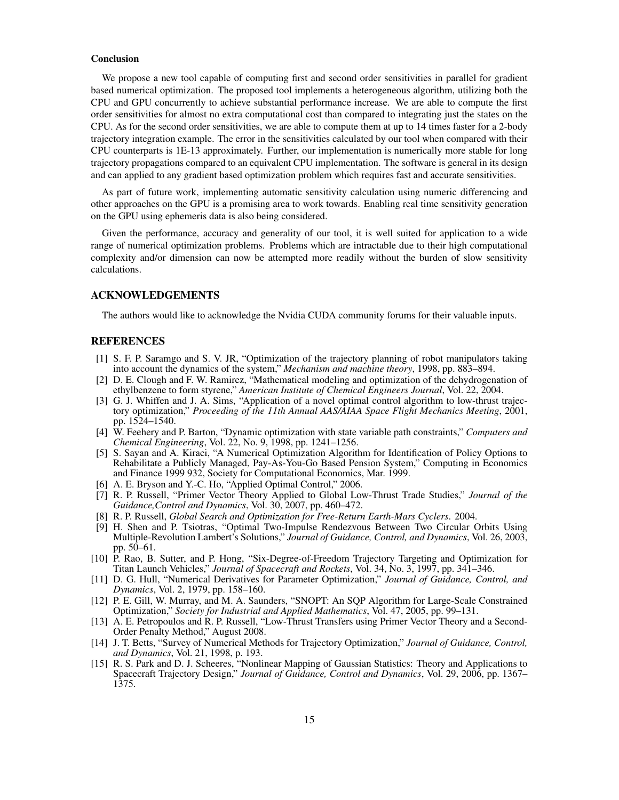#### **Conclusion**

We propose a new tool capable of computing first and second order sensitivities in parallel for gradient based numerical optimization. The proposed tool implements a heterogeneous algorithm, utilizing both the CPU and GPU concurrently to achieve substantial performance increase. We are able to compute the first order sensitivities for almost no extra computational cost than compared to integrating just the states on the CPU. As for the second order sensitivities, we are able to compute them at up to 14 times faster for a 2-body trajectory integration example. The error in the sensitivities calculated by our tool when compared with their CPU counterparts is 1E-13 approximately. Further, our implementation is numerically more stable for long trajectory propagations compared to an equivalent CPU implementation. The software is general in its design and can applied to any gradient based optimization problem which requires fast and accurate sensitivities.

As part of future work, implementing automatic sensitivity calculation using numeric differencing and other approaches on the GPU is a promising area to work towards. Enabling real time sensitivity generation on the GPU using ephemeris data is also being considered.

Given the performance, accuracy and generality of our tool, it is well suited for application to a wide range of numerical optimization problems. Problems which are intractable due to their high computational complexity and/or dimension can now be attempted more readily without the burden of slow sensitivity calculations.

#### ACKNOWLEDGEMENTS

The authors would like to acknowledge the Nvidia CUDA community forums for their valuable inputs.

#### REFERENCES

- <span id="page-14-0"></span>[1] S. F. P. Saramgo and S. V. JR, "Optimization of the trajectory planning of robot manipulators taking into account the dynamics of the system," *Mechanism and machine theory*, 1998, pp. 883–894.
- <span id="page-14-1"></span>[2] D. E. Clough and F. W. Ramirez, "Mathematical modeling and optimization of the dehydrogenation of ethylbenzene to form styrene," *American Institute of Chemical Engineers Journal*, Vol. 22, 2004.
- <span id="page-14-2"></span>[3] G. J. Whiffen and J. A. Sims, "Application of a novel optimal control algorithm to low-thrust trajectory optimization," *Proceeding of the 11th Annual AAS/AIAA Space Flight Mechanics Meeting*, 2001, pp. 1524–1540.
- <span id="page-14-3"></span>[4] W. Feehery and P. Barton, "Dynamic optimization with state variable path constraints," *Computers and Chemical Engineering*, Vol. 22, No. 9, 1998, pp. 1241–1256.
- <span id="page-14-4"></span>[5] S. Sayan and A. Kiraci, "A Numerical Optimization Algorithm for Identification of Policy Options to Rehabilitate a Publicly Managed, Pay-As-You-Go Based Pension System," Computing in Economics and Finance 1999 932, Society for Computational Economics, Mar. 1999.
- <span id="page-14-5"></span>[6] A. E. Bryson and Y.-C. Ho, "Applied Optimal Control," 2006.
- <span id="page-14-6"></span>[7] R. P. Russell, "Primer Vector Theory Applied to Global Low-Thrust Trade Studies," *Journal of the Guidance,Control and Dynamics*, Vol. 30, 2007, pp. 460–472.
- <span id="page-14-7"></span>[8] R. P. Russell, *Global Search and Optimization for Free-Return Earth-Mars Cyclers*. 2004.
- <span id="page-14-8"></span>[9] H. Shen and P. Tsiotras, "Optimal Two-Impulse Rendezvous Between Two Circular Orbits Using Multiple-Revolution Lambert's Solutions," *Journal of Guidance, Control, and Dynamics*, Vol. 26, 2003, pp. 50–61.
- <span id="page-14-9"></span>[10] P. Rao, B. Sutter, and P. Hong, "Six-Degree-of-Freedom Trajectory Targeting and Optimization for Titan Launch Vehicles," *Journal of Spacecraft and Rockets*, Vol. 34, No. 3, 1997, pp. 341–346.
- <span id="page-14-10"></span>[11] D. G. Hull, "Numerical Derivatives for Parameter Optimization," *Journal of Guidance, Control, and Dynamics*, Vol. 2, 1979, pp. 158–160.
- <span id="page-14-11"></span>[12] P. E. Gill, W. Murray, and M. A. Saunders, "SNOPT: An SQP Algorithm for Large-Scale Constrained Optimization," *Society for Industrial and Applied Mathematics*, Vol. 47, 2005, pp. 99–131.
- <span id="page-14-12"></span>[13] A. E. Petropoulos and R. P. Russell, "Low-Thrust Transfers using Primer Vector Theory and a Second-Order Penalty Method," August 2008.
- <span id="page-14-13"></span>[14] J. T. Betts, "Survey of Numerical Methods for Trajectory Optimization," *Journal of Guidance, Control, and Dynamics*, Vol. 21, 1998, p. 193.
- <span id="page-14-14"></span>[15] R. S. Park and D. J. Scheeres, "Nonlinear Mapping of Gaussian Statistics: Theory and Applications to Spacecraft Trajectory Design," *Journal of Guidance, Control and Dynamics*, Vol. 29, 2006, pp. 1367– 1375.